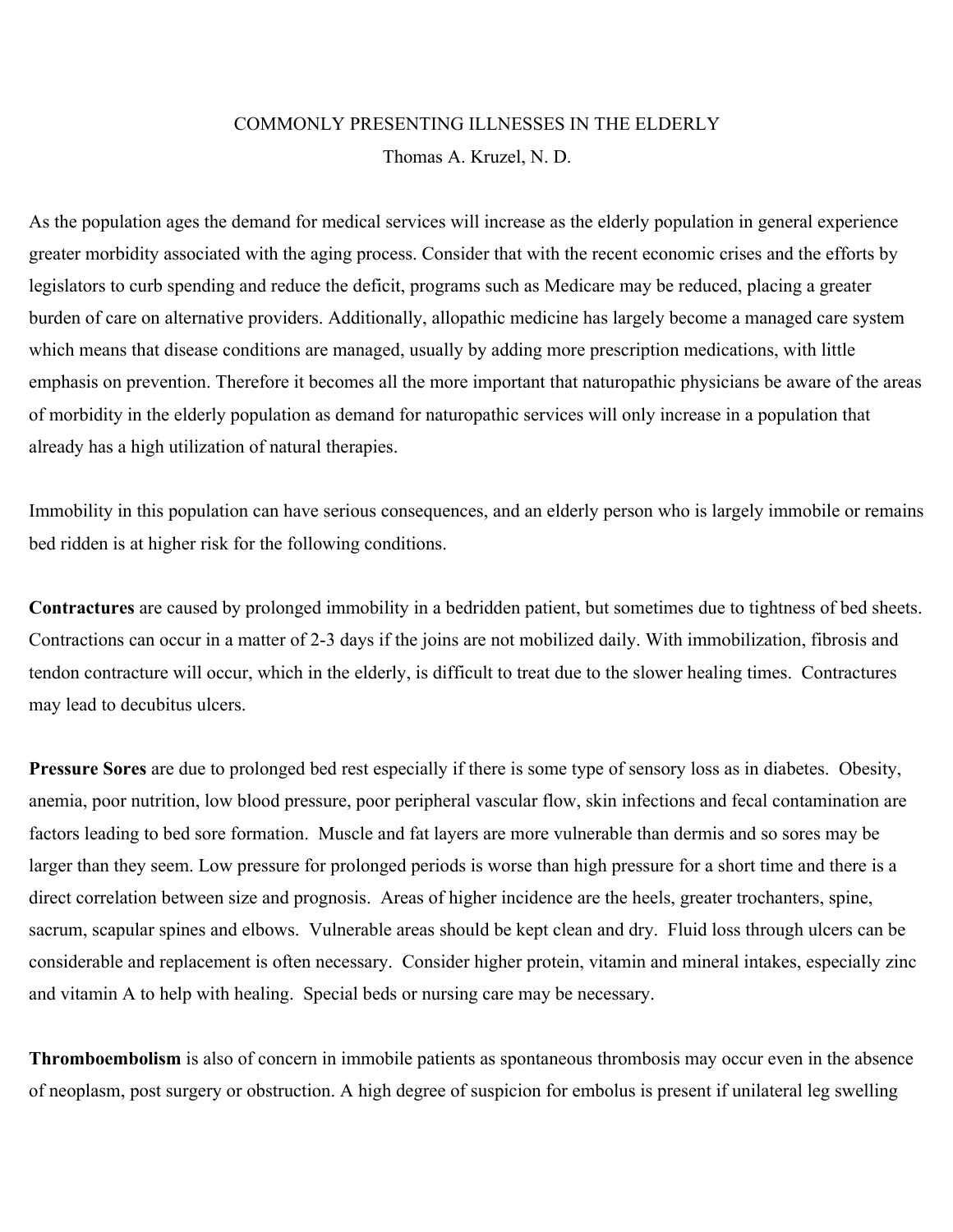## COMMONLY PRESENTING ILLNESSES IN THE ELDERLY Thomas A. Kruzel, N. D.

As the population ages the demand for medical services will increase as the elderly population in general experience greater morbidity associated with the aging process. Consider that with the recent economic crises and the efforts by legislators to curb spending and reduce the deficit, programs such as Medicare may be reduced, placing a greater burden of care on alternative providers. Additionally, allopathic medicine has largely become a managed care system which means that disease conditions are managed, usually by adding more prescription medications, with little emphasis on prevention. Therefore it becomes all the more important that naturopathic physicians be aware of the areas of morbidity in the elderly population as demand for naturopathic services will only increase in a population that already has a high utilization of natural therapies.

Immobility in this population can have serious consequences, and an elderly person who is largely immobile or remains bed ridden is at higher risk for the following conditions.

**Contractures** are caused by prolonged immobility in a bedridden patient, but sometimes due to tightness of bed sheets. Contractions can occur in a matter of 2-3 days if the joins are not mobilized daily. With immobilization, fibrosis and tendon contracture will occur, which in the elderly, is difficult to treat due to the slower healing times. Contractures may lead to decubitus ulcers.

**Pressure Sores** are due to prolonged bed rest especially if there is some type of sensory loss as in diabetes. Obesity, anemia, poor nutrition, low blood pressure, poor peripheral vascular flow, skin infections and fecal contamination are factors leading to bed sore formation. Muscle and fat layers are more vulnerable than dermis and so sores may be larger than they seem. Low pressure for prolonged periods is worse than high pressure for a short time and there is a direct correlation between size and prognosis. Areas of higher incidence are the heels, greater trochanters, spine, sacrum, scapular spines and elbows. Vulnerable areas should be kept clean and dry. Fluid loss through ulcers can be considerable and replacement is often necessary. Consider higher protein, vitamin and mineral intakes, especially zinc and vitamin A to help with healing. Special beds or nursing care may be necessary.

**Thromboembolism** is also of concern in immobile patients as spontaneous thrombosis may occur even in the absence of neoplasm, post surgery or obstruction. A high degree of suspicion for embolus is present if unilateral leg swelling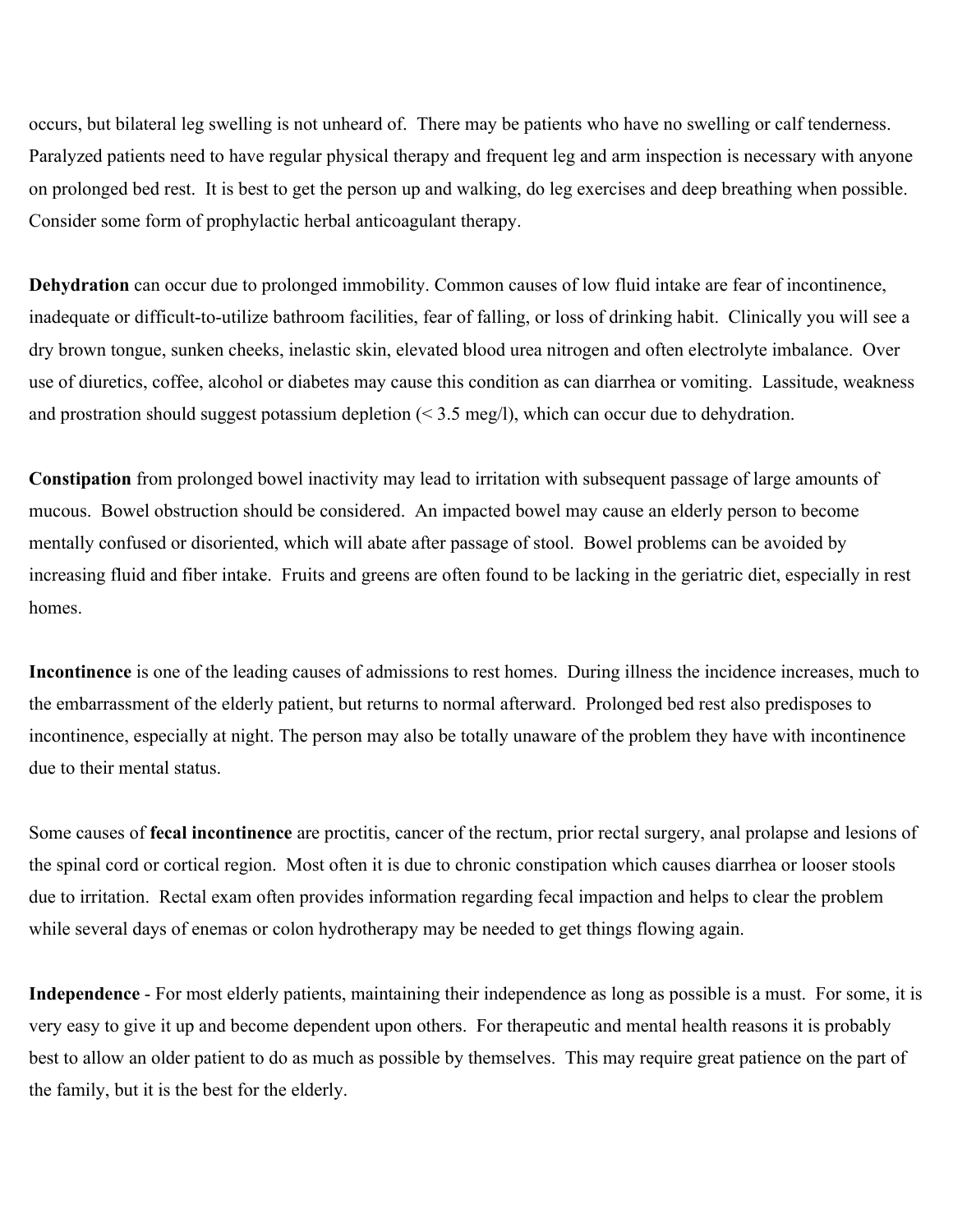occurs, but bilateral leg swelling is not unheard of. There may be patients who have no swelling or calf tenderness. Paralyzed patients need to have regular physical therapy and frequent leg and arm inspection is necessary with anyone on prolonged bed rest. It is best to get the person up and walking, do leg exercises and deep breathing when possible. Consider some form of prophylactic herbal anticoagulant therapy.

**Dehydration** can occur due to prolonged immobility. Common causes of low fluid intake are fear of incontinence, inadequate or difficult-to-utilize bathroom facilities, fear of falling, or loss of drinking habit. Clinically you will see a dry brown tongue, sunken cheeks, inelastic skin, elevated blood urea nitrogen and often electrolyte imbalance. Over use of diuretics, coffee, alcohol or diabetes may cause this condition as can diarrhea or vomiting. Lassitude, weakness and prostration should suggest potassium depletion  $($  < 3.5 meg/l), which can occur due to dehydration.

**Constipation** from prolonged bowel inactivity may lead to irritation with subsequent passage of large amounts of mucous. Bowel obstruction should be considered. An impacted bowel may cause an elderly person to become mentally confused or disoriented, which will abate after passage of stool. Bowel problems can be avoided by increasing fluid and fiber intake. Fruits and greens are often found to be lacking in the geriatric diet, especially in rest homes.

**Incontinence** is one of the leading causes of admissions to rest homes. During illness the incidence increases, much to the embarrassment of the elderly patient, but returns to normal afterward. Prolonged bed rest also predisposes to incontinence, especially at night. The person may also be totally unaware of the problem they have with incontinence due to their mental status.

Some causes of **fecal incontinence** are proctitis, cancer of the rectum, prior rectal surgery, anal prolapse and lesions of the spinal cord or cortical region. Most often it is due to chronic constipation which causes diarrhea or looser stools due to irritation. Rectal exam often provides information regarding fecal impaction and helps to clear the problem while several days of enemas or colon hydrotherapy may be needed to get things flowing again.

**Independence** - For most elderly patients, maintaining their independence as long as possible is a must. For some, it is very easy to give it up and become dependent upon others. For therapeutic and mental health reasons it is probably best to allow an older patient to do as much as possible by themselves. This may require great patience on the part of the family, but it is the best for the elderly.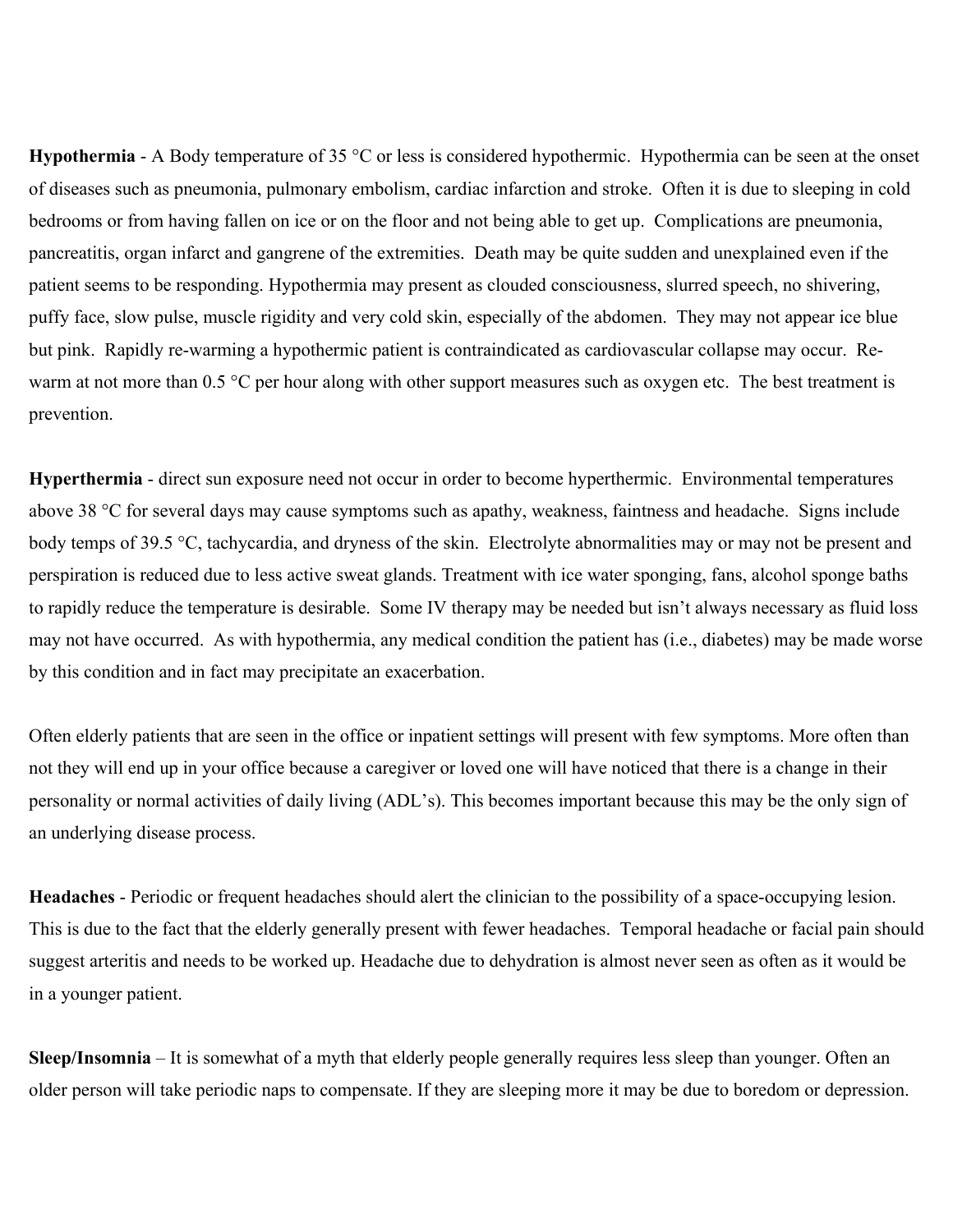**Hypothermia** - A Body temperature of 35 °C or less is considered hypothermic. Hypothermia can be seen at the onset of diseases such as pneumonia, pulmonary embolism, cardiac infarction and stroke. Often it is due to sleeping in cold bedrooms or from having fallen on ice or on the floor and not being able to get up. Complications are pneumonia, pancreatitis, organ infarct and gangrene of the extremities. Death may be quite sudden and unexplained even if the patient seems to be responding. Hypothermia may present as clouded consciousness, slurred speech, no shivering, puffy face, slow pulse, muscle rigidity and very cold skin, especially of the abdomen. They may not appear ice blue but pink. Rapidly re-warming a hypothermic patient is contraindicated as cardiovascular collapse may occur. Rewarm at not more than 0.5 °C per hour along with other support measures such as oxygen etc. The best treatment is prevention.

**Hyperthermia** - direct sun exposure need not occur in order to become hyperthermic. Environmental temperatures above 38 °C for several days may cause symptoms such as apathy, weakness, faintness and headache. Signs include body temps of 39.5 °C, tachycardia, and dryness of the skin. Electrolyte abnormalities may or may not be present and perspiration is reduced due to less active sweat glands. Treatment with ice water sponging, fans, alcohol sponge baths to rapidly reduce the temperature is desirable. Some IV therapy may be needed but isn't always necessary as fluid loss may not have occurred. As with hypothermia, any medical condition the patient has (i.e., diabetes) may be made worse by this condition and in fact may precipitate an exacerbation.

Often elderly patients that are seen in the office or inpatient settings will present with few symptoms. More often than not they will end up in your office because a caregiver or loved one will have noticed that there is a change in their personality or normal activities of daily living (ADL's). This becomes important because this may be the only sign of an underlying disease process.

**Headaches** - Periodic or frequent headaches should alert the clinician to the possibility of a space-occupying lesion. This is due to the fact that the elderly generally present with fewer headaches. Temporal headache or facial pain should suggest arteritis and needs to be worked up. Headache due to dehydration is almost never seen as often as it would be in a younger patient.

**Sleep/Insomnia** – It is somewhat of a myth that elderly people generally requires less sleep than younger. Often an older person will take periodic naps to compensate. If they are sleeping more it may be due to boredom or depression.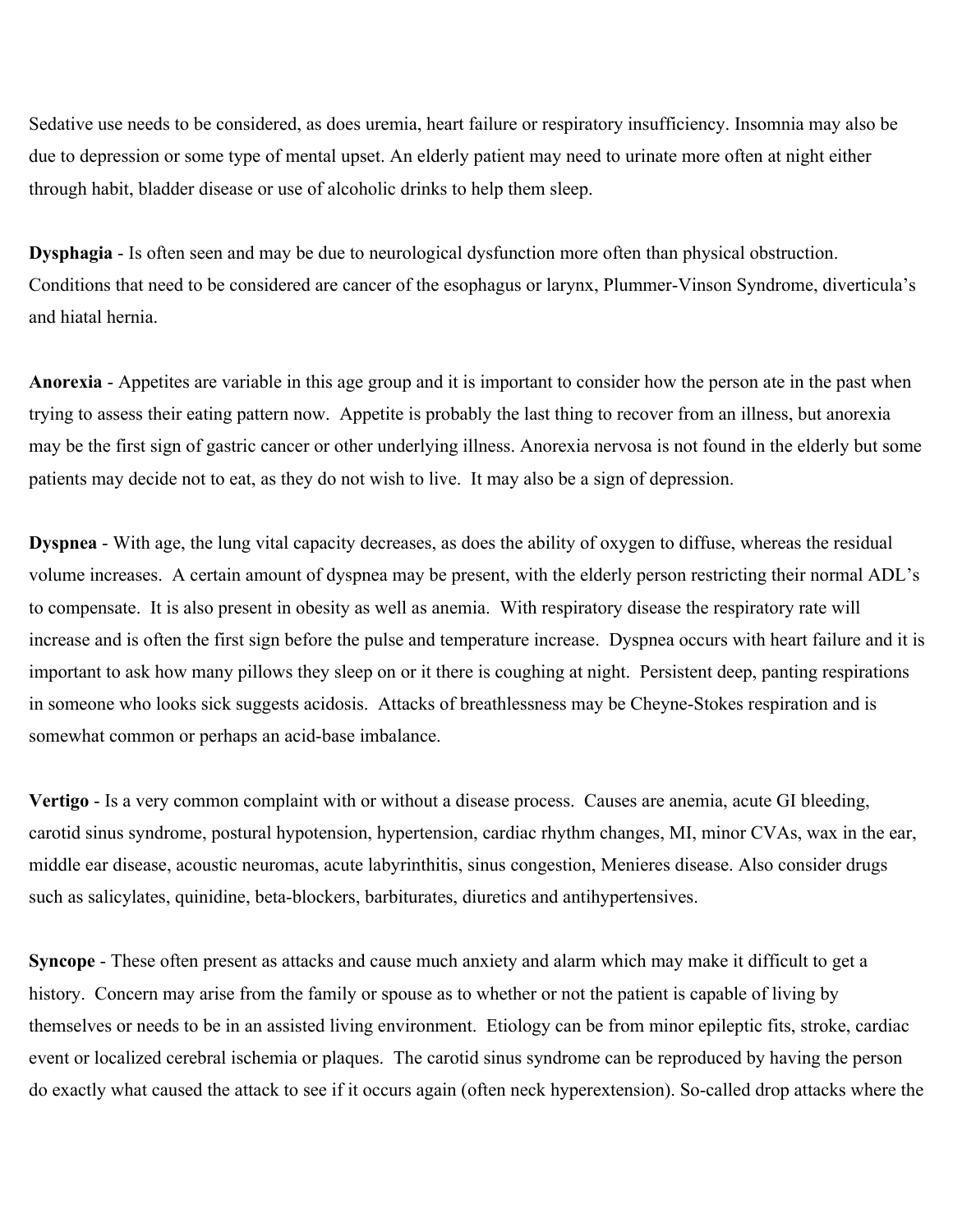Sedative use needs to be considered, as does uremia, heart failure or respiratory insufficiency. Insomnia may also be due to depression or some type of mental upset. An elderly patient may need to urinate more often at night either through habit, bladder disease or use of alcoholic drinks to help them sleep.

**Dysphagia** - Is often seen and may be due to neurological dysfunction more often than physical obstruction. Conditions that need to be considered are cancer of the esophagus or larynx, Plummer-Vinson Syndrome, diverticula's and hiatal hernia.

**Anorexia** - Appetites are variable in this age group and it is important to consider how the person ate in the past when trying to assess their eating pattern now. Appetite is probably the last thing to recover from an illness, but anorexia may be the first sign of gastric cancer or other underlying illness. Anorexia nervosa is not found in the elderly but some patients may decide not to eat, as they do not wish to live. It may also be a sign of depression.

**Dyspnea** - With age, the lung vital capacity decreases, as does the ability of oxygen to diffuse, whereas the residual volume increases. A certain amount of dyspnea may be present, with the elderly person restricting their normal ADL's to compensate. It is also present in obesity as well as anemia. With respiratory disease the respiratory rate will increase and is often the first sign before the pulse and temperature increase. Dyspnea occurs with heart failure and it is important to ask how many pillows they sleep on or it there is coughing at night. Persistent deep, panting respirations in someone who looks sick suggests acidosis. Attacks of breathlessness may be Cheyne-Stokes respiration and is somewhat common or perhaps an acid-base imbalance.

**Vertigo** - Is a very common complaint with or without a disease process. Causes are anemia, acute GI bleeding, carotid sinus syndrome, postural hypotension, hypertension, cardiac rhythm changes, MI, minor CVAs, wax in the ear, middle ear disease, acoustic neuromas, acute labyrinthitis, sinus congestion, Menieres disease. Also consider drugs such as salicylates, quinidine, beta-blockers, barbiturates, diuretics and antihypertensives.

**Syncope** - These often present as attacks and cause much anxiety and alarm which may make it difficult to get a history. Concern may arise from the family or spouse as to whether or not the patient is capable of living by themselves or needs to be in an assisted living environment. Etiology can be from minor epileptic fits, stroke, cardiac event or localized cerebral ischemia or plaques. The carotid sinus syndrome can be reproduced by having the person do exactly what caused the attack to see if it occurs again (often neck hyperextension). So-called drop attacks where the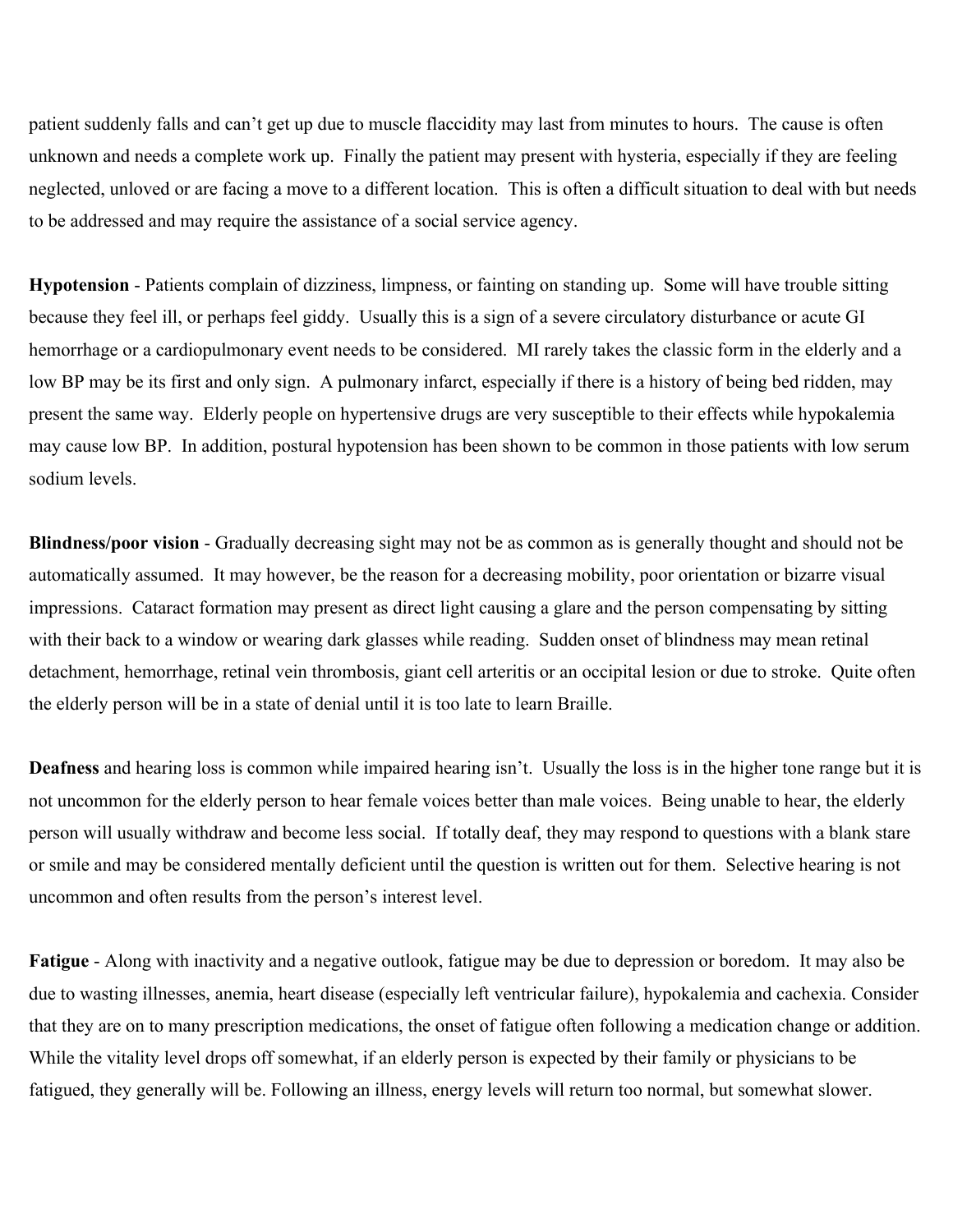patient suddenly falls and can't get up due to muscle flaccidity may last from minutes to hours. The cause is often unknown and needs a complete work up. Finally the patient may present with hysteria, especially if they are feeling neglected, unloved or are facing a move to a different location. This is often a difficult situation to deal with but needs to be addressed and may require the assistance of a social service agency.

**Hypotension** - Patients complain of dizziness, limpness, or fainting on standing up. Some will have trouble sitting because they feel ill, or perhaps feel giddy. Usually this is a sign of a severe circulatory disturbance or acute GI hemorrhage or a cardiopulmonary event needs to be considered. MI rarely takes the classic form in the elderly and a low BP may be its first and only sign. A pulmonary infarct, especially if there is a history of being bed ridden, may present the same way. Elderly people on hypertensive drugs are very susceptible to their effects while hypokalemia may cause low BP. In addition, postural hypotension has been shown to be common in those patients with low serum sodium levels.

**Blindness/poor vision** - Gradually decreasing sight may not be as common as is generally thought and should not be automatically assumed. It may however, be the reason for a decreasing mobility, poor orientation or bizarre visual impressions. Cataract formation may present as direct light causing a glare and the person compensating by sitting with their back to a window or wearing dark glasses while reading. Sudden onset of blindness may mean retinal detachment, hemorrhage, retinal vein thrombosis, giant cell arteritis or an occipital lesion or due to stroke. Quite often the elderly person will be in a state of denial until it is too late to learn Braille.

**Deafness** and hearing loss is common while impaired hearing isn't. Usually the loss is in the higher tone range but it is not uncommon for the elderly person to hear female voices better than male voices. Being unable to hear, the elderly person will usually withdraw and become less social. If totally deaf, they may respond to questions with a blank stare or smile and may be considered mentally deficient until the question is written out for them. Selective hearing is not uncommon and often results from the person's interest level.

**Fatigue** - Along with inactivity and a negative outlook, fatigue may be due to depression or boredom. It may also be due to wasting illnesses, anemia, heart disease (especially left ventricular failure), hypokalemia and cachexia. Consider that they are on to many prescription medications, the onset of fatigue often following a medication change or addition. While the vitality level drops off somewhat, if an elderly person is expected by their family or physicians to be fatigued, they generally will be. Following an illness, energy levels will return too normal, but somewhat slower.